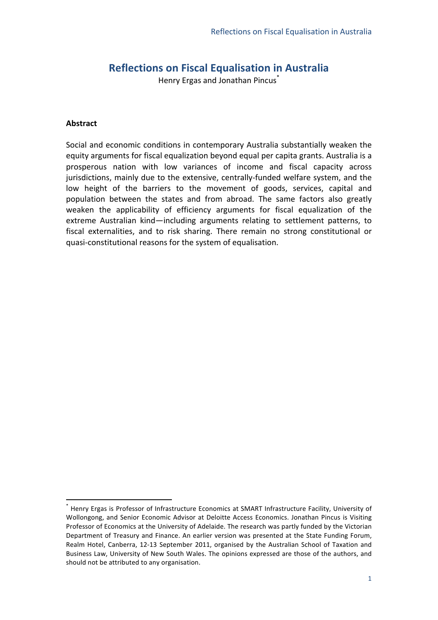### **Reflections+on+Fiscal+Equalisation+in+Australia**

Henry Ergas and Jonathan Pincus\*

#### **Abstract**

Social and economic conditions in contemporary Australia substantially weaken the equity arguments for fiscal equalization beyond equal per capita grants. Australia is a prosperous nation with low variances of income and fiscal capacity across jurisdictions, mainly due to the extensive, centrally-funded welfare system, and the low height of the barriers to the movement of goods, services, capital and population between the states and from abroad. The same factors also greatly weaken the applicability of efficiency arguments for fiscal equalization of the extreme Australian kind—including arguments relating to settlement patterns, to fiscal externalities, and to risk sharing. There remain no strong constitutional or quasi-constitutional reasons for the system of equalisation.

<sup>\*&</sup>lt;br>Henry Ergas is Professor of Infrastructure Economics at SMART Infrastructure Facility, University of Wollongong, and Senior Economic Advisor at Deloitte Access Economics. Jonathan Pincus is Visiting Professor of Economics at the University of Adelaide. The research was partly funded by the Victorian Department of Treasury and Finance. An earlier version was presented at the State Funding Forum, Realm Hotel, Canberra, 12-13 September 2011, organised by the Australian School of Taxation and Business Law, University of New South Wales. The opinions expressed are those of the authors, and should not be attributed to any organisation.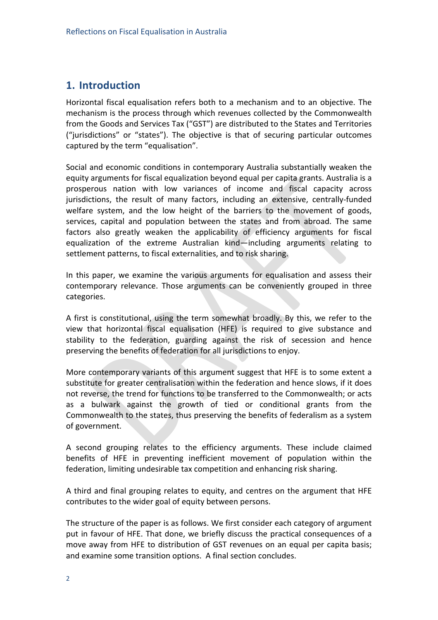### **1. Introduction**

Horizontal fiscal equalisation refers both to a mechanism and to an objective. The mechanism is the process through which revenues collected by the Commonwealth from the Goods and Services Tax ("GST") are distributed to the States and Territories ("jurisdictions" or "states"). The objective is that of securing particular outcomes captured by the term "equalisation".

Social and economic conditions in contemporary Australia substantially weaken the equity arguments for fiscal equalization beyond equal per capita grants. Australia is a prosperous nation with low variances of income and fiscal capacity across jurisdictions, the result of many factors, including an extensive, centrally-funded welfare system, and the low height of the barriers to the movement of goods, services, capital and population between the states and from abroad. The same factors also greatly weaken the applicability of efficiency arguments for fiscal equalization of the extreme Australian kind—including arguments relating to settlement patterns, to fiscal externalities, and to risk sharing.

In this paper, we examine the various arguments for equalisation and assess their contemporary relevance. Those arguments can be conveniently grouped in three categories.

A first is constitutional, using the term somewhat broadly. By this, we refer to the view that horizontal fiscal equalisation (HFE) is required to give substance and stability to the federation, guarding against the risk of secession and hence preserving the benefits of federation for all jurisdictions to enjoy.

More contemporary variants of this argument suggest that HFE is to some extent a substitute for greater centralisation within the federation and hence slows, if it does not reverse, the trend for functions to be transferred to the Commonwealth; or acts as a bulwark against the growth of tied or conditional grants from the Commonwealth to the states, thus preserving the benefits of federalism as a system of government.

A second grouping relates to the efficiency arguments. These include claimed benefits of HFE in preventing inefficient movement of population within the federation, limiting undesirable tax competition and enhancing risk sharing.

A third and final grouping relates to equity, and centres on the argument that HFE contributes to the wider goal of equity between persons.

The structure of the paper is as follows. We first consider each category of argument put in favour of HFE. That done, we briefly discuss the practical consequences of a move away from HFE to distribution of GST revenues on an equal per capita basis; and examine some transition options. A final section concludes.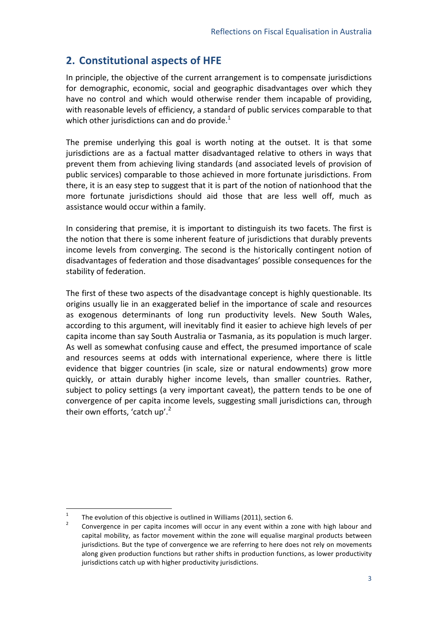# **2. Constitutional aspects of HFE**

In principle, the objective of the current arrangement is to compensate jurisdictions for demographic, economic, social and geographic disadvantages over which they have no control and which would otherwise render them incapable of providing, with reasonable levels of efficiency, a standard of public services comparable to that which other jurisdictions can and do provide.<sup>1</sup>

The premise underlying this goal is worth noting at the outset. It is that some jurisdictions are as a factual matter disadvantaged relative to others in ways that prevent them from achieving living standards (and associated levels of provision of public services) comparable to those achieved in more fortunate jurisdictions. From there, it is an easy step to suggest that it is part of the notion of nationhood that the more fortunate jurisdictions should aid those that are less well off, much as assistance would occur within a family.

In considering that premise, it is important to distinguish its two facets. The first is the notion that there is some inherent feature of jurisdictions that durably prevents income levels from converging. The second is the historically contingent notion of disadvantages of federation and those disadvantages' possible consequences for the stability of federation.

The first of these two aspects of the disadvantage concept is highly questionable. Its origins usually lie in an exaggerated belief in the importance of scale and resources as exogenous determinants of long run productivity levels. New South Wales, according to this argument, will inevitably find it easier to achieve high levels of per capita income than say South Australia or Tasmania, as its population is much larger. As well as somewhat confusing cause and effect, the presumed importance of scale and resources seems at odds with international experience, where there is little evidence that bigger countries (in scale, size or natural endowments) grow more quickly, or attain durably higher income levels, than smaller countries. Rather, subject to policy settings (a very important caveat), the pattern tends to be one of convergence of per capita income levels, suggesting small jurisdictions can, through their own efforts, 'catch up'.<sup>2</sup>

 $+$ <sup>1</sup> The evolution of this objective is outlined in Williams (2011), section 6.

<sup>&</sup>lt;sup>2</sup> Convergence in per capita incomes will occur in any event within a zone with high labour and capital mobility, as factor movement within the zone will equalise marginal products between jurisdictions. But the type of convergence we are referring to here does not rely on movements along given production functions but rather shifts in production functions, as lower productivity jurisdictions catch up with higher productivity jurisdictions.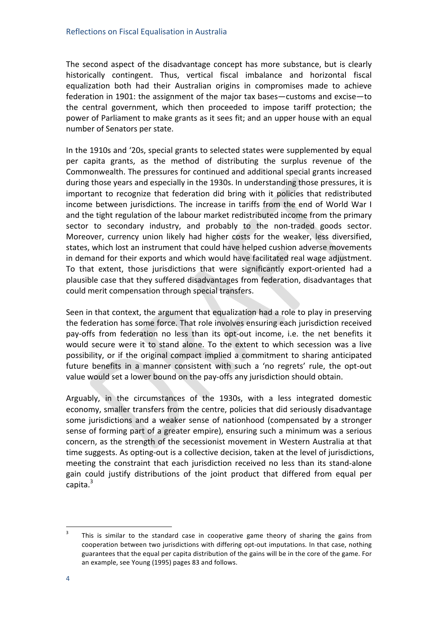The second aspect of the disadvantage concept has more substance, but is clearly historically contingent. Thus, vertical fiscal imbalance and horizontal fiscal equalization both had their Australian origins in compromises made to achieve federation in 1901: the assignment of the major tax bases—customs and excise—to the central government, which then proceeded to impose tariff protection; the power of Parliament to make grants as it sees fit; and an upper house with an equal number of Senators per state.

In the 1910s and '20s, special grants to selected states were supplemented by equal per capita grants, as the method of distributing the surplus revenue of the Commonwealth. The pressures for continued and additional special grants increased during those years and especially in the 1930s. In understanding those pressures, it is important to recognize that federation did bring with it policies that redistributed income between jurisdictions. The increase in tariffs from the end of World War I and the tight regulation of the labour market redistributed income from the primary sector to secondary industry, and probably to the non-traded goods sector. Moreover, currency union likely had higher costs for the weaker, less diversified, states, which lost an instrument that could have helped cushion adverse movements in demand for their exports and which would have facilitated real wage adjustment. To that extent, those jurisdictions that were significantly export-oriented had a plausible case that they suffered disadvantages from federation, disadvantages that could merit compensation through special transfers.

Seen in that context, the argument that equalization had a role to play in preserving the federation has some force. That role involves ensuring each jurisdiction received pay-offs from federation no less than its opt-out income, i.e. the net benefits it would secure were it to stand alone. To the extent to which secession was a live possibility, or if the original compact implied a commitment to sharing anticipated future benefits in a manner consistent with such a 'no regrets' rule, the opt-out value would set a lower bound on the pay-offs any jurisdiction should obtain.

Arguably, in the circumstances of the 1930s, with a less integrated domestic economy, smaller transfers from the centre, policies that did seriously disadvantage some jurisdictions and a weaker sense of nationhood (compensated by a stronger sense of forming part of a greater empire), ensuring such a minimum was a serious concern, as the strength of the secessionist movement in Western Australia at that time suggests. As opting-out is a collective decision, taken at the level of jurisdictions, meeting the constraint that each jurisdiction received no less than its stand-alone gain could justify distributions of the joint product that differed from equal per capita. $3$ 

 $\frac{3}{1}$  This is similar to the standard case in cooperative game theory of sharing the gains from cooperation between two jurisdictions with differing opt-out imputations. In that case, nothing guarantees that the equal per capita distribution of the gains will be in the core of the game. For an example, see Young (1995) pages 83 and follows.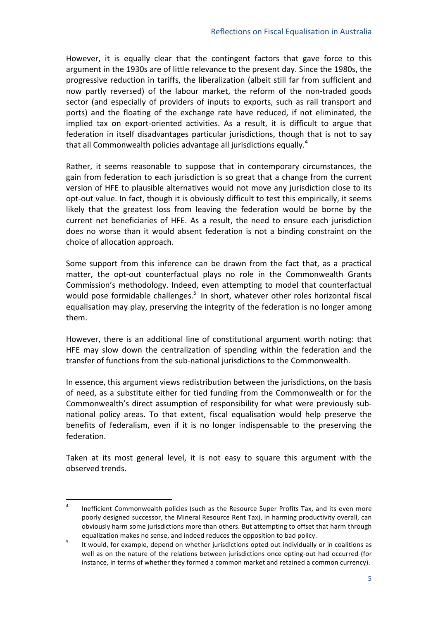However, it is equally clear that the contingent factors that gave force to this argument in the 1930s are of little relevance to the present day. Since the 1980s, the progressive reduction in tariffs, the liberalization (albeit still far from sufficient and now partly reversed) of the labour market, the reform of the non-traded goods sector (and especially of providers of inputs to exports, such as rail transport and ports) and the floating of the exchange rate have reduced, if not eliminated, the implied tax on export-oriented activities. As a result, it is difficult to argue that federation in itself disadvantages particular jurisdictions, though that is not to say that all Commonwealth policies advantage all jurisdictions equally.<sup>4</sup>

Rather, it seems reasonable to suppose that in contemporary circumstances, the gain from federation to each jurisdiction is so great that a change from the current version of HFE to plausible alternatives would not move any jurisdiction close to its opt-out value. In fact, though it is obviously difficult to test this empirically, it seems likely that the greatest loss from leaving the federation would be borne by the current net beneficiaries of HFE. As a result, the need to ensure each jurisdiction does no worse than it would absent federation is not a binding constraint on the choice of allocation approach.

Some support from this inference can be drawn from the fact that, as a practical matter, the opt-out counterfactual plays no role in the Commonwealth Grants Commission's methodology. Indeed, even attempting to model that counterfactual would pose formidable challenges. $5$  In short, whatever other roles horizontal fiscal equalisation may play, preserving the integrity of the federation is no longer among them.

However, there is an additional line of constitutional argument worth noting: that HFE may slow down the centralization of spending within the federation and the transfer of functions from the sub-national jurisdictions to the Commonwealth.

In essence, this argument views redistribution between the jurisdictions, on the basis of need, as a substitute either for tied funding from the Commonwealth or for the Commonwealth's direct assumption of responsibility for what were previously subnational policy areas. To that extent, fiscal equalisation would help preserve the benefits of federalism, even if it is no longer indispensable to the preserving the federation.

Taken at its most general level, it is not easy to square this argument with the observed trends.

<sup>&</sup>lt;sup>4</sup> Inefficient Commonwealth policies (such as the Resource Super Profits Tax, and its even more poorly designed successor, the Mineral Resource Rent Tax), in harming productivity overall, can obviously harm some jurisdictions more than others. But attempting to offset that harm through

equalization makes no sense, and indeed reduces the opposition to bad policy.<br><sup>5</sup> It would, for example, depend on whether jurisdictions opted out individually or in coalitions as well as on the nature of the relations between jurisdictions once opting-out had occurred (for instance, in terms of whether they formed a common market and retained a common currency).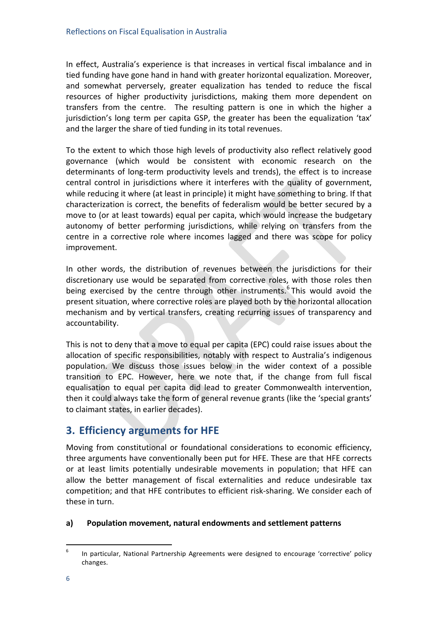In effect, Australia's experience is that increases in vertical fiscal imbalance and in tied funding have gone hand in hand with greater horizontal equalization. Moreover, and somewhat perversely, greater equalization has tended to reduce the fiscal resources of higher productivity jurisdictions, making them more dependent on transfers from the centre. The resulting pattern is one in which the higher a jurisdiction's long term per capita GSP, the greater has been the equalization 'tax' and the larger the share of tied funding in its total revenues.

To the extent to which those high levels of productivity also reflect relatively good governance (which would be consistent with economic research on the determinants of long-term productivity levels and trends), the effect is to increase central control in jurisdictions where it interferes with the quality of government, while reducing it where (at least in principle) it might have something to bring. If that characterization is correct, the benefits of federalism would be better secured by a move to (or at least towards) equal per capita, which would increase the budgetary autonomy of better performing jurisdictions, while relying on transfers from the centre in a corrective role where incomes lagged and there was scope for policy improvement.

In other words, the distribution of revenues between the jurisdictions for their discretionary use would be separated from corrective roles, with those roles then being exercised by the centre through other instruments.<sup>6</sup> This would avoid the present situation, where corrective roles are played both by the horizontal allocation mechanism and by vertical transfers, creating recurring issues of transparency and accountability.

This is not to deny that a move to equal per capita (EPC) could raise issues about the allocation of specific responsibilities, notably with respect to Australia's indigenous population. We discuss those issues below in the wider context of a possible transition to EPC. However, here we note that, if the change from full fiscal equalisation to equal per capita did lead to greater Commonwealth intervention, then it could always take the form of general revenue grants (like the 'special grants' to claimant states, in earlier decades).

# **3. Efficiency arguments for HFE**

Moving from constitutional or foundational considerations to economic efficiency, three arguments have conventionally been put for HFE. These are that HFE corrects or at least limits potentially undesirable movements in population; that HFE can allow the better management of fiscal externalities and reduce undesirable tax competition; and that HFE contributes to efficient risk-sharing. We consider each of these in turn.

#### a) Population movement, natural endowments and settlement patterns

 $+6$  -  $-1$  In particular, National Partnership Agreements were designed to encourage 'corrective' policy changes.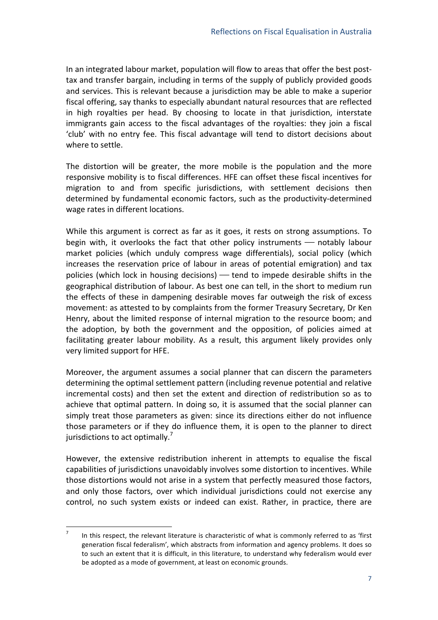In an integrated labour market, population will flow to areas that offer the best posttax and transfer bargain, including in terms of the supply of publicly provided goods and services. This is relevant because a jurisdiction may be able to make a superior fiscal offering, say thanks to especially abundant natural resources that are reflected in high royalties per head. By choosing to locate in that jurisdiction, interstate immigrants gain access to the fiscal advantages of the royalties: they join a fiscal 'club' with no entry fee. This fiscal advantage will tend to distort decisions about where to settle.

The distortion will be greater, the more mobile is the population and the more responsive mobility is to fiscal differences. HFE can offset these fiscal incentives for migration to and from specific jurisdictions, with settlement decisions then determined by fundamental economic factors, such as the productivity-determined wage rates in different locations.

While this argument is correct as far as it goes, it rests on strong assumptions. To begin with, it overlooks the fact that other policy instruments  $-$  notably labour market policies (which unduly compress wage differentials), social policy (which increases the reservation price of labour in areas of potential emigration) and tax policies (which lock in housing decisions)  $-$  tend to impede desirable shifts in the geographical distribution of labour. As best one can tell, in the short to medium run the effects of these in dampening desirable moves far outweigh the risk of excess movement: as attested to by complaints from the former Treasury Secretary, Dr Ken Henry, about the limited response of internal migration to the resource boom; and the adoption, by both the government and the opposition, of policies aimed at facilitating greater labour mobility. As a result, this argument likely provides only very limited support for HFE.

Moreover, the argument assumes a social planner that can discern the parameters determining the optimal settlement pattern (including revenue potential and relative incremental costs) and then set the extent and direction of redistribution so as to achieve that optimal pattern. In doing so, it is assumed that the social planner can simply treat those parameters as given: since its directions either do not influence those parameters or if they do influence them, it is open to the planner to direct jurisdictions to act optimally.<sup>7</sup>

However, the extensive redistribution inherent in attempts to equalise the fiscal capabilities of jurisdictions unavoidably involves some distortion to incentives. While those distortions would not arise in a system that perfectly measured those factors, and only those factors, over which individual jurisdictions could not exercise any control, no such system exists or indeed can exist. Rather, in practice, there are

In this respect, the relevant literature is characteristic of what is commonly referred to as 'first generation fiscal federalism', which abstracts from information and agency problems. It does so to such an extent that it is difficult, in this literature, to understand why federalism would ever be adopted as a mode of government, at least on economic grounds.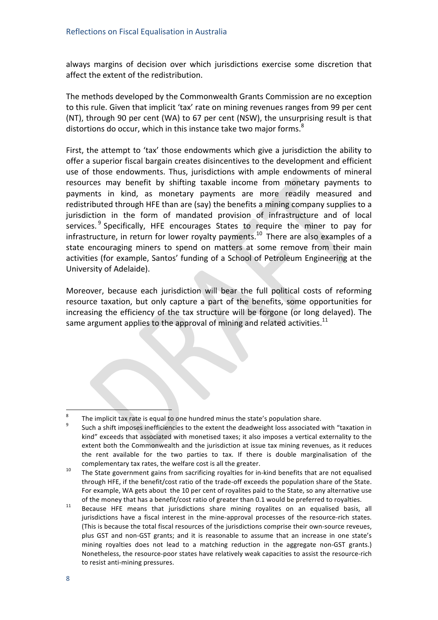always margins of decision over which jurisdictions exercise some discretion that affect the extent of the redistribution.

The methods developed by the Commonwealth Grants Commission are no exception to this rule. Given that implicit 'tax' rate on mining revenues ranges from 99 per cent (NT), through 90 per cent (WA) to 67 per cent (NSW), the unsurprising result is that distortions do occur, which in this instance take two major forms.<sup>8</sup>

First, the attempt to 'tax' those endowments which give a jurisdiction the ability to offer a superior fiscal bargain creates disincentives to the development and efficient use of those endowments. Thus, jurisdictions with ample endowments of mineral resources may benefit by shifting taxable income from monetary payments to payments in kind, as monetary payments are more readily measured and redistributed through HFE than are (say) the benefits a mining company supplies to a jurisdiction in the form of mandated provision of infrastructure and of local services.<sup>9</sup> Specifically, HFE encourages States to require the miner to pay for infrastructure, in return for lower royalty payments.<sup>10</sup> There are also examples of a state encouraging miners to spend on matters at some remove from their main activities (for example, Santos' funding of a School of Petroleum Engineering at the University of Adelaide).

Moreover, because each jurisdiction will bear the full political costs of reforming resource taxation, but only capture a part of the benefits, some opportunities for increasing the efficiency of the tax structure will be forgone (or long delayed). The same argument applies to the approval of mining and related activities.<sup>11</sup>

<sup>&</sup>lt;sup>8</sup> The implicit tax rate is equal to one hundred minus the state's population share.<br><sup>9</sup> Such a shift imposes inefficiencies to the extent the deadweight loss associated with "taxation in

kind" exceeds that associated with monetised taxes; it also imposes a vertical externality to the extent both the Commonwealth and the jurisdiction at issue tax mining revenues, as it reduces the rent available for the two parties to tax. If there is double marginalisation of the complementary tax rates, the welfare cost is all the greater.<br><sup>10</sup> The State government gains from sacrificing royalties for in-kind benefits that are not equalised

through HFE, if the benefit/cost ratio of the trade-off exceeds the population share of the State. For example, WA gets about the 10 per cent of royalites paid to the State, so any alternative use

of the money that has a benefit/cost ratio of greater than 0.1 would be preferred to royalties.<br><sup>11</sup> Because HFE means that jurisdictions share mining royalites on an equalised basis, all jurisdictions have a fiscal interest in the mine-approval processes of the resource-rich states. (This is because the total fiscal resources of the jurisdictions comprise their own-source reveues, plus GST and non-GST grants; and it is reasonable to assume that an increase in one state's mining royalties does not lead to a matching reduction in the aggregate non-GST grants.) Nonetheless, the resource-poor states have relatively weak capacities to assist the resource-rich to resist anti-mining pressures.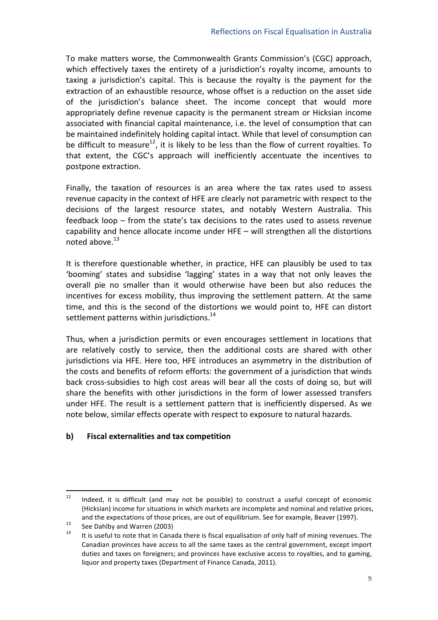To make matters worse, the Commonwealth Grants Commission's (CGC) approach, which effectively taxes the entirety of a jurisdiction's royalty income, amounts to taxing a jurisdiction's capital. This is because the royalty is the payment for the extraction of an exhaustible resource, whose offset is a reduction on the asset side of the jurisdiction's balance sheet. The income concept that would more appropriately define revenue capacity is the permanent stream or Hicksian income associated with financial capital maintenance, i.e. the level of consumption that can be maintained indefinitely holding capital intact. While that level of consumption can be difficult to measure<sup>12</sup>, it is likely to be less than the flow of current royalties. To that extent, the CGC's approach will inefficiently accentuate the incentives to postpone extraction.

Finally, the taxation of resources is an area where the tax rates used to assess revenue capacity in the context of HFE are clearly not parametric with respect to the decisions of the largest resource states, and notably Western Australia. This feedback  $loop$ – from the state's tax decisions to the rates used to assess revenue capability and hence allocate income under HFE  $-$  will strengthen all the distortions noted above. $13$ 

It is therefore questionable whether, in practice, HFE can plausibly be used to tax 'booming' states and subsidise 'lagging' states in a way that not only leaves the overall pie no smaller than it would otherwise have been but also reduces the incentives for excess mobility, thus improving the settlement pattern. At the same time, and this is the second of the distortions we would point to, HFE can distort settlement patterns within jurisdictions.<sup>14</sup>

Thus, when a jurisdiction permits or even encourages settlement in locations that are relatively costly to service, then the additional costs are shared with other jurisdictions via HFE. Here too, HFE introduces an asymmetry in the distribution of the costs and benefits of reform efforts: the government of a jurisdiction that winds back cross-subsidies to high cost areas will bear all the costs of doing so, but will share the benefits with other jurisdictions in the form of lower assessed transfers under HFE. The result is a settlement pattern that is inefficiently dispersed. As we note below, similar effects operate with respect to exposure to natural hazards.

#### **b) Fiscal+externalities+and+tax+competition**

 $+12$  Indeed, it is difficult (and may not be possible) to construct a useful concept of economic (Hicksian) income for situations in which markets are incomplete and nominal and relative prices,

and the expectations of those prices, are out of equilibrium. See for example, Beaver (1997).<br><sup>14</sup> It is useful to note that in Canada there is fiscal equalisation of only half of mining revenues. The Canadian provinces have access to all the same taxes as the central government, except import duties and taxes on foreigners; and provinces have exclusive access to royalties, and to gaming, liquor and property taxes (Department of Finance Canada, 2011).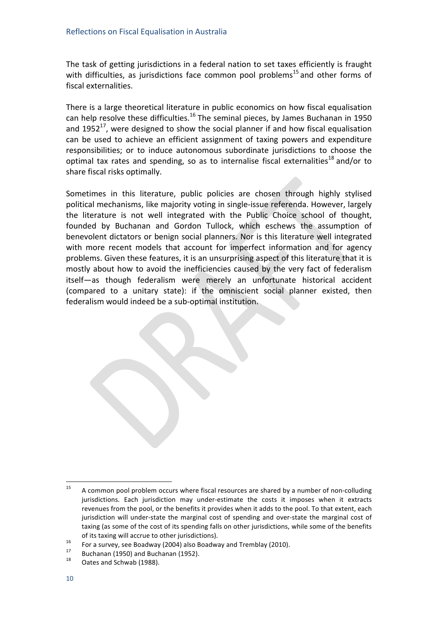The task of getting jurisdictions in a federal nation to set taxes efficiently is fraught with difficulties, as jurisdictions face common pool problems<sup>15</sup> and other forms of fiscal externalities.

There is a large theoretical literature in public economics on how fiscal equalisation can help resolve these difficulties.<sup>16</sup> The seminal pieces, by James Buchanan in 1950 and  $1952^{17}$ , were designed to show the social planner if and how fiscal equalisation can be used to achieve an efficient assignment of taxing powers and expenditure responsibilities; or to induce autonomous subordinate jurisdictions to choose the optimal tax rates and spending, so as to internalise fiscal externalities<sup>18</sup> and/or to share fiscal risks optimally.

Sometimes in this literature, public policies are chosen through highly stylised political mechanisms, like majority voting in single-issue referenda. However, largely the literature is not well integrated with the Public Choice school of thought, founded by Buchanan and Gordon Tullock, which eschews the assumption of benevolent dictators or benign social planners. Nor is this literature well integrated with more recent models that account for imperfect information and for agency problems. Given these features, it is an unsurprising aspect of this literature that it is mostly about how to avoid the inefficiencies caused by the very fact of federalism itself—as though federalism were merely an unfortunate historical accident (compared to a unitary state): if the omniscient social planner existed, then federalism would indeed be a sub-optimal institution.

 $+15$  A common pool problem occurs where fiscal resources are shared by a number of non-colluding jurisdictions. Each jurisdiction may under-estimate the costs it imposes when it extracts revenues from the pool, or the benefits it provides when it adds to the pool. To that extent, each jurisdiction will under-state the marginal cost of spending and over-state the marginal cost of taxing (as some of the cost of its spending falls on other jurisdictions, while some of the benefits

of its taxing will accrue to other jurisdictions).<br>
<sup>16</sup> For a survey, see Boadway (2004) also Boadway and Tremblay (2010).<br>
<sup>17</sup> Buchanan (1950) and Buchanan (1952).<br>
<sup>18</sup> Oates and Schwab (1988).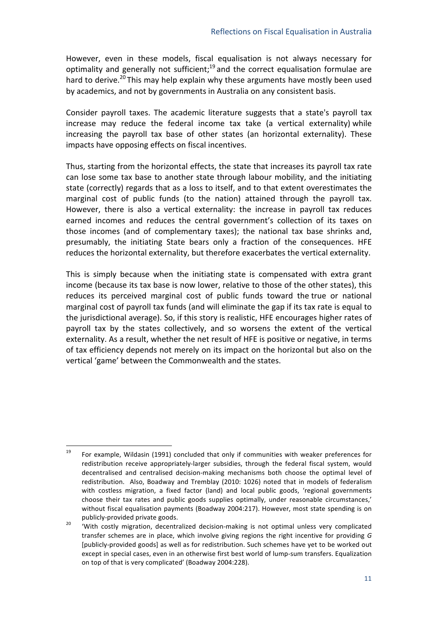However, even in these models, fiscal equalisation is not always necessary for optimality and generally not sufficient;<sup>19</sup> and the correct equalisation formulae are hard to derive.<sup>20</sup> This may help explain why these arguments have mostly been used by academics, and not by governments in Australia on any consistent basis.

Consider payroll taxes. The academic literature suggests that a state's payroll tax increase may reduce the federal income tax take (a vertical externality) while increasing the payroll tax base of other states (an horizontal externality). These impacts have opposing effects on fiscal incentives.

Thus, starting from the horizontal effects, the state that increases its payroll tax rate can lose some tax base to another state through labour mobility, and the initiating state (correctly) regards that as a loss to itself, and to that extent overestimates the marginal cost of public funds (to the nation) attained through the payroll tax. However, there is also a vertical externality: the increase in payroll tax reduces earned incomes and reduces the central government's collection of its taxes on those incomes (and of complementary taxes); the national tax base shrinks and, presumably, the initiating State bears only a fraction of the consequences. HFE reduces the horizontal externality, but therefore exacerbates the vertical externality.

This is simply because when the initiating state is compensated with extra grant income (because its tax base is now lower, relative to those of the other states), this reduces its perceived marginal cost of public funds toward the true or national marginal cost of payroll tax funds (and will eliminate the gap if its tax rate is equal to the jurisdictional average). So, if this story is realistic, HFE encourages higher rates of payroll tax by the states collectively, and so worsens the extent of the vertical externality. As a result, whether the net result of HFE is positive or negative, in terms of tax efficiency depends not merely on its impact on the horizontal but also on the vertical 'game' between the Commonwealth and the states.

 $^{19}$  For example, Wildasin (1991) concluded that only if communities with weaker preferences for redistribution receive appropriately-larger subsidies, through the federal fiscal system, would decentralised and centralised decision-making mechanisms both choose the optimal level of redistribution. Also, Boadway and Tremblay (2010: 1026) noted that in models of federalism with costless migration, a fixed factor (land) and local public goods, 'regional governments choose their tax rates and public goods supplies optimally, under reasonable circumstances,' without fiscal equalisation payments (Boadway 2004:217). However, most state spending is on

publicly-provided private goods.<br><sup>20</sup> 'With- costly- migration, decentralized- decision-making- is- not- optimal- unless- very- complicated transfer schemes are in place, which involve giving regions the right incentive for providing *G* [publicly-provided goods] as well as for redistribution. Such schemes have yet to be worked out except in special cases, even in an otherwise first best world of lump-sum transfers. Equalization on top of that is very complicated' (Boadway 2004:228).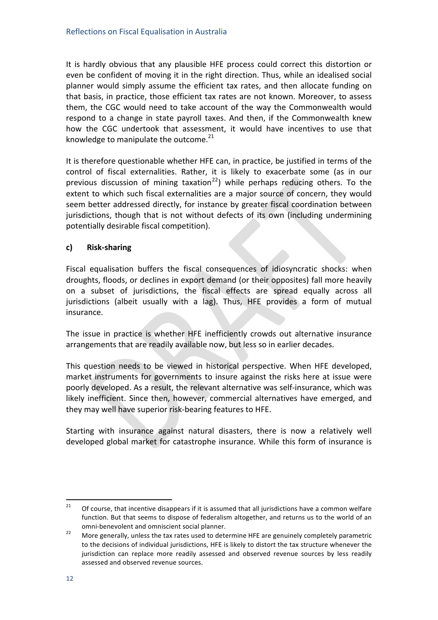It is hardly obvious that any plausible HFE process could correct this distortion or even be confident of moving it in the right direction. Thus, while an idealised social planner would simply assume the efficient tax rates, and then allocate funding on that basis, in practice, those efficient tax rates are not known. Moreover, to assess them, the CGC would need to take account of the way the Commonwealth would respond to a change in state payroll taxes. And then, if the Commonwealth knew how the CGC undertook that assessment, it would have incentives to use that knowledge to manipulate the outcome. $^{21}$ 

It is therefore questionable whether HFE can, in practice, be justified in terms of the control of fiscal externalities. Rather, it is likely to exacerbate some (as in our previous discussion of mining taxation<sup>22</sup>) while perhaps reducing others. To the extent to which such fiscal externalities are a major source of concern, they would seem better addressed directly, for instance by greater fiscal coordination between jurisdictions, though that is not without defects of its own (including undermining potentially desirable fiscal competition).

#### c) **Risk-sharing**

Fiscal equalisation buffers the fiscal consequences of idiosyncratic shocks: when droughts, floods, or declines in export demand (or their opposites) fall more heavily on a subset of jurisdictions, the fiscal effects are spread equally across all jurisdictions (albeit usually with a lag). Thus, HFE provides a form of mutual insurance.

The issue in practice is whether HFE inefficiently crowds out alternative insurance arrangements that are readily available now, but less so in earlier decades.

This question needs to be viewed in historical perspective. When HFE developed, market instruments for governments to insure against the risks here at issue were poorly developed. As a result, the relevant alternative was self-insurance, which was likely inefficient. Since then, however, commercial alternatives have emerged, and they may well have superior risk-bearing features to HFE.

Starting with insurance against natural disasters, there is now a relatively well developed global market for catastrophe insurance. While this form of insurance is

 $1+1+1+1+1+$  Of course, that incentive disappears if it is assumed that all jurisdictions have a common welfare function. But that seems to dispose of federalism altogether, and returns us to the world of an omni-benevolent and omniscient social planner.<br>22 More generally, unless the tax rates used to determine HFE are genuinely completely parametric

to the decisions of individual jurisdictions, HFE is likely to distort the tax structure whenever the jurisdiction can replace more readily assessed and observed revenue sources by less readily assessed and observed revenue sources.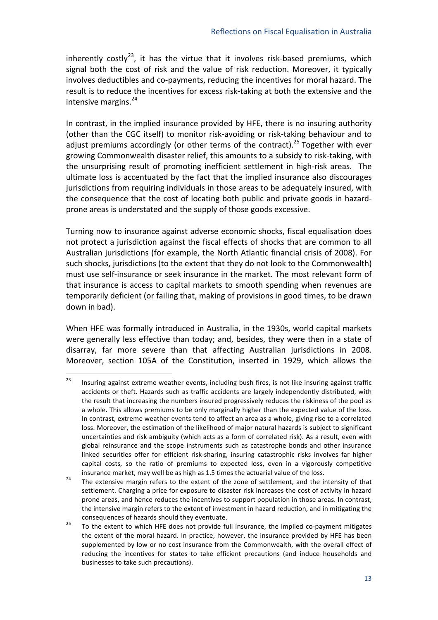inherently costly<sup>23</sup>, it has the virtue that it involves risk-based premiums, which signal both the cost of risk and the value of risk reduction. Moreover, it typically involves deductibles and co-payments, reducing the incentives for moral hazard. The result is to reduce the incentives for excess risk-taking at both the extensive and the intensive margins. $24$ 

In contrast, in the implied insurance provided by HFE, there is no insuring authority (other than the CGC itself) to monitor risk-avoiding or risk-taking behaviour and to adjust premiums accordingly (or other terms of the contract).<sup>25</sup> Together with ever growing Commonwealth disaster relief, this amounts to a subsidy to risk-taking, with the unsurprising result of promoting inefficient settlement in high-risk areas. The ultimate loss is accentuated by the fact that the implied insurance also discourages jurisdictions from requiring individuals in those areas to be adequately insured, with the consequence that the cost of locating both public and private goods in hazardprone areas is understated and the supply of those goods excessive.

Turning now to insurance against adverse economic shocks, fiscal equalisation does not protect a jurisdiction against the fiscal effects of shocks that are common to all Australian jurisdictions (for example, the North Atlantic financial crisis of 2008). For such shocks, jurisdictions (to the extent that they do not look to the Commonwealth) must use self-insurance or seek insurance in the market. The most relevant form of that insurance is access to capital markets to smooth spending when revenues are temporarily deficient (or failing that, making of provisions in good times, to be drawn down in bad).

When HFE was formally introduced in Australia, in the 1930s, world capital markets were generally less effective than today; and, besides, they were then in a state of disarray, far more severe than that affecting Australian jurisdictions in 2008. Moreover, section 105A of the Constitution, inserted in 1929, which allows the

 $^{23}$  Insuring against extreme weather events, including bush fires, is not like insuring against traffic accidents or theft. Hazards such as traffic accidents are largely independently distributed, with the result that increasing the numbers insured progressively reduces the riskiness of the pool as a whole. This allows premiums to be only marginally higher than the expected value of the loss. In contrast, extreme weather events tend to affect an area as a whole, giving rise to a correlated loss. Moreover, the estimation of the likelihood of major natural hazards is subject to significant uncertainties and risk ambiguity (which acts as a form of correlated risk). As a result, even with global reinsurance and the scope instruments such as catastrophe bonds and other insurance linked securities offer for efficient risk-sharing, insuring catastrophic risks involves far higher capital costs, so the ratio of premiums to expected loss, even in a vigorously competitive

insurance market, may well be as high as 1.5 times the actuarial value of the loss.<br><sup>24</sup> The extensive margin refers to the extent of the zone of settlement, and the intensity of that settlement. Charging a price for exposure to disaster risk increases the cost of activity in hazard prone areas, and hence reduces the incentives to support population in those areas. In contrast, the intensive margin refers to the extent of investment in hazard reduction, and in mitigating the

consequences of hazards should they eventuate.<br><sup>25</sup> To the extent to which HFE does not provide full insurance, the implied co-payment mitigates the extent of the moral hazard. In practice, however, the insurance provided by HFE has been supplemented by low or no cost insurance from the Commonwealth, with the overall effect of reducing the incentives for states to take efficient precautions (and induce households and businesses to take such precautions).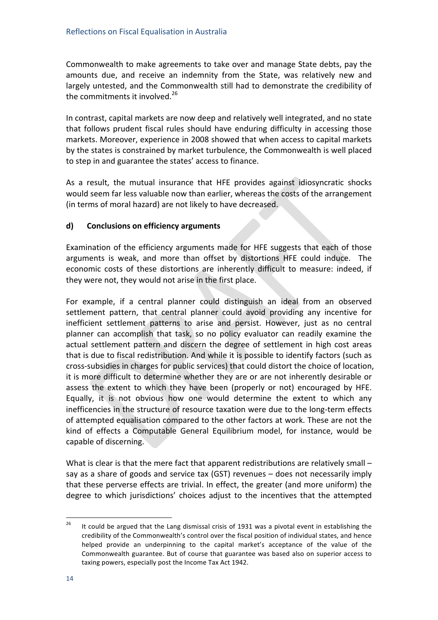Commonwealth to make agreements to take over and manage State debts, pay the amounts due, and receive an indemnity from the State, was relatively new and largely untested, and the Commonwealth still had to demonstrate the credibility of the commitments it involved.<sup>26</sup>

In contrast, capital markets are now deep and relatively well integrated, and no state that follows prudent fiscal rules should have enduring difficulty in accessing those markets. Moreover, experience in 2008 showed that when access to capital markets by the states is constrained by market turbulence, the Commonwealth is well placed to step in and guarantee the states' access to finance.

As a result, the mutual insurance that HFE provides against idiosyncratic shocks would seem far less valuable now than earlier, whereas the costs of the arrangement (in terms of moral hazard) are not likely to have decreased.

#### **d) Conclusions+on+efficiency+arguments**

Examination of the efficiency arguments made for HFE suggests that each of those arguments is weak, and more than offset by distortions HFE could induce. The economic costs of these distortions are inherently difficult to measure: indeed, if they were not, they would not arise in the first place.

For example, if a central planner could distinguish an ideal from an observed settlement pattern, that central planner could avoid providing any incentive for inefficient settlement patterns to arise and persist. However, just as no central planner can accomplish that task, so no policy evaluator can readily examine the actual settlement pattern and discern the degree of settlement in high cost areas that is due to fiscal redistribution. And while it is possible to identify factors (such as cross-subsidies in charges for public services) that could distort the choice of location, it is more difficult to determine whether they are or are not inherently desirable or assess the extent to which they have been (properly or not) encouraged by HFE. Equally, it is not obvious how one would determine the extent to which any inefficencies in the structure of resource taxation were due to the long-term effects of attempted equalisation compared to the other factors at work. These are not the kind of effects a Computable General Equilibrium model, for instance, would be capable of discerning.

What is clear is that the mere fact that apparent redistributions are relatively small – say as a share of goods and service tax (GST) revenues  $-$  does not necessarily imply that these perverse effects are trivial. In effect, the greater (and more uniform) the degree to which jurisdictions' choices adjust to the incentives that the attempted

<sup>&</sup>lt;sup>26</sup> It could be argued that the Lang dismissal crisis of 1931 was a pivotal event in establishing the credibility of the Commonwealth's control over the fiscal position of individual states, and hence helped provide an underpinning to the capital market's acceptance of the value of the Commonwealth guarantee. But of course that guarantee was based also on superior access to taxing powers, especially post the Income Tax Act 1942.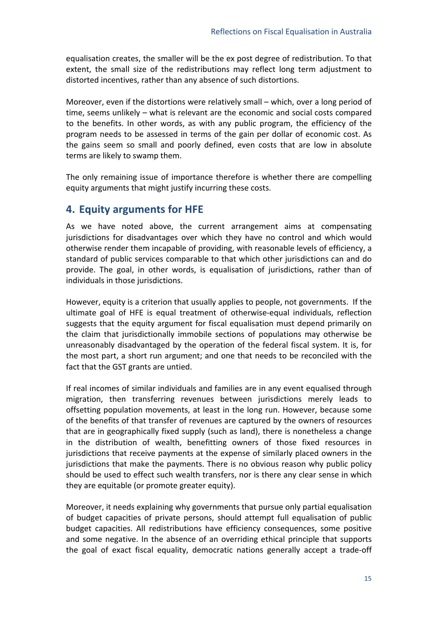equalisation creates, the smaller will be the ex post degree of redistribution. To that extent, the small size of the redistributions may reflect long term adjustment to distorted incentives, rather than any absence of such distortions.

Moreover, even if the distortions were relatively small – which, over a long period of time, seems unlikely – what is relevant are the economic and social costs compared to the benefits. In other words, as with any public program, the efficiency of the program needs to be assessed in terms of the gain per dollar of economic cost. As the gains seem so small and poorly defined, even costs that are low in absolute terms are likely to swamp them.

The only remaining issue of importance therefore is whether there are compelling equity arguments that might justify incurring these costs.

### **4. Equity+arguments+for+HFE**

As we have noted above, the current arrangement aims at compensating jurisdictions for disadvantages over which they have no control and which would otherwise render them incapable of providing, with reasonable levels of efficiency, a standard of public services comparable to that which other jurisdictions can and do provide. The goal, in other words, is equalisation of jurisdictions, rather than of individuals in those jurisdictions.

However, equity is a criterion that usually applies to people, not governments. If the ultimate goal of HFE is equal treatment of otherwise-equal individuals, reflection suggests that the equity argument for fiscal equalisation must depend primarily on the claim that jurisdictionally immobile sections of populations may otherwise be unreasonably disadvantaged by the operation of the federal fiscal system. It is, for the most part, a short run argument; and one that needs to be reconciled with the fact that the GST grants are untied.

If real incomes of similar individuals and families are in any event equalised through migration, then transferring revenues between jurisdictions merely leads to offsetting population movements, at least in the long run. However, because some of the benefits of that transfer of revenues are captured by the owners of resources that are in geographically fixed supply (such as land), there is nonetheless a change in the distribution of wealth, benefitting owners of those fixed resources in jurisdictions that receive payments at the expense of similarly placed owners in the jurisdictions that make the payments. There is no obvious reason why public policy should be used to effect such wealth transfers, nor is there any clear sense in which they are equitable (or promote greater equity).

Moreover, it needs explaining why governments that pursue only partial equalisation of budget capacities of private persons, should attempt full equalisation of public budget capacities. All redistributions have efficiency consequences, some positive and some negative. In the absence of an overriding ethical principle that supports the goal of exact fiscal equality, democratic nations generally accept a trade-off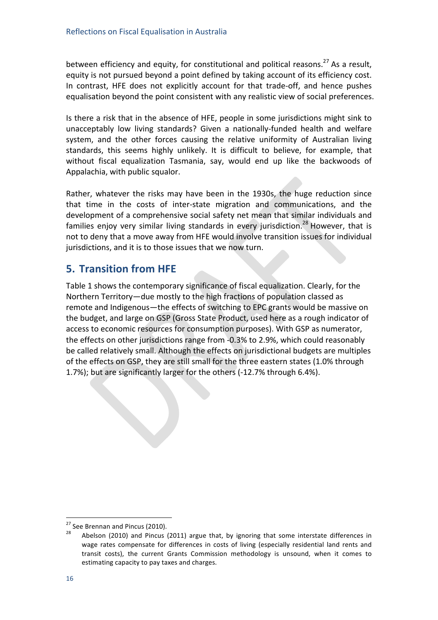between efficiency and equity, for constitutional and political reasons.<sup>27</sup> As a result, equity is not pursued beyond a point defined by taking account of its efficiency cost. In contrast, HFE does not explicitly account for that trade-off, and hence pushes equalisation beyond the point consistent with any realistic view of social preferences.

Is there a risk that in the absence of HFE, people in some jurisdictions might sink to unacceptably low living standards? Given a nationally-funded health and welfare system, and the other forces causing the relative uniformity of Australian living standards, this seems highly unlikely. It is difficult to believe, for example, that without fiscal equalization Tasmania, say, would end up like the backwoods of Appalachia, with public squalor.

Rather, whatever the risks may have been in the 1930s, the huge reduction since that time in the costs of inter-state migration and communications, and the development of a comprehensive social safety net mean that similar individuals and families enjoy very similar living standards in every jurisdiction.<sup>28</sup> However, that is not to deny that a move away from HFE would involve transition issues for individual jurisdictions, and it is to those issues that we now turn.

## **5. Transition from HFE**

Table 1 shows the contemporary significance of fiscal equalization. Clearly, for the Northern Territory—due mostly to the high fractions of population classed as remote and Indigenous—the effects of switching to EPC grants would be massive on the budget, and large on GSP (Gross State Product, used here as a rough indicator of access to economic resources for consumption purposes). With GSP as numerator, the effects on other jurisdictions range from -0.3% to 2.9%, which could reasonably be called relatively small. Although the effects on jurisdictional budgets are multiples of the effects on GSP, they are still small for the three eastern states (1.0% through 1.7%); but are significantly larger for the others (-12.7% through 6.4%).

<sup>&</sup>lt;sup>27</sup> See Brennan and Pincus (2010).<br><sup>28</sup> Abelson (2010) and Pincus (2011) argue that, by ignoring that some interstate differences in wage rates compensate for differences in costs of living (especially residential land rents and transit costs), the current Grants Commission methodology is unsound, when it comes to estimating capacity to pay taxes and charges.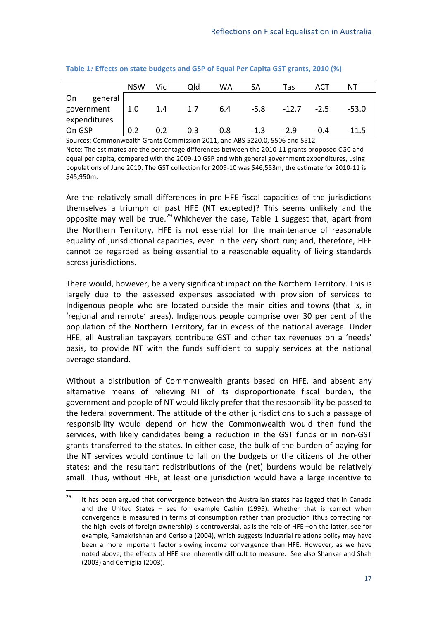|               | <b>NSW</b>  | Vic | Qld | WA  | SА     | Tas          | ACT    | NΤ      |
|---------------|-------------|-----|-----|-----|--------|--------------|--------|---------|
| On<br>general |             |     |     |     |        |              |        |         |
| government    | $\vert$ 1.0 | 1.4 | 1.7 | 6.4 | -5.8   | $-12.7 -2.5$ |        | $-53.0$ |
| expenditures  |             |     |     |     |        |              |        |         |
| On GSP        | 0.2         | 0.2 | 0.3 | 0.8 | $-1.3$ | $-2.9$       | $-0.4$ | -11.5   |

Table 1*:* **Effects on state budgets and GSP of Equal Per Capita GST grants, 2010 (%)** 

Sources: Commonwealth Grants Commission 2011, and ABS 5220.0, 5506 and 5512 Note: The estimates are the percentage differences between the 2010-11 grants proposed CGC and equal per capita, compared with the 2009-10 GSP and with general government expenditures, using populations of June 2010. The GST collection for 2009-10 was \$46,553m; the estimate for 2010-11 is \$45,950m.

Are the relatively small differences in pre-HFE fiscal capacities of the jurisdictions themselves a triumph of past HFE (NT excepted)? This seems unlikely and the opposite may well be true.<sup>29</sup> Whichever the case, Table 1 suggest that, apart from the Northern Territory, HFE is not essential for the maintenance of reasonable equality of jurisdictional capacities, even in the very short run; and, therefore, HFE cannot be regarded as being essential to a reasonable equality of living standards across jurisdictions.

There would, however, be a very significant impact on the Northern Territory. This is largely due to the assessed expenses associated with provision of services to Indigenous people who are located outside the main cities and towns (that is, in 'regional and remote' areas). Indigenous people comprise over 30 per cent of the population of the Northern Territory, far in excess of the national average. Under HFE, all Australian taxpayers contribute GST and other tax revenues on a 'needs' basis, to provide NT with the funds sufficient to supply services at the national average standard.

Without a distribution of Commonwealth grants based on HFE, and absent any alternative means of relieving NT of its disproportionate fiscal burden, the government and people of NT would likely prefer that the responsibility be passed to the federal government. The attitude of the other jurisdictions to such a passage of responsibility would depend on how the Commonwealth would then fund the services, with likely candidates being a reduction in the GST funds or in non-GST grants transferred to the states. In either case, the bulk of the burden of paying for the NT services would continue to fall on the budgets or the citizens of the other states; and the resultant redistributions of the (net) burdens would be relatively small. Thus, without HFE, at least one jurisdiction would have a large incentive to

 $^{29}$  It has been argued that convergence between the Australian states has lagged that in Canada and the United States – see for example Cashin (1995). Whether that is correct when convergence is measured in terms of consumption rather than production (thus correcting for the high levels of foreign ownership) is controversial, as is the role of HFE –on the latter, see for example, Ramakrishnan and Cerisola (2004), which suggests industrial relations policy may have been a more important factor slowing income convergence than HFE. However, as we have noted above, the effects of HFE are inherently difficult to measure. See also Shankar and Shah (2003) and Cerniglia (2003).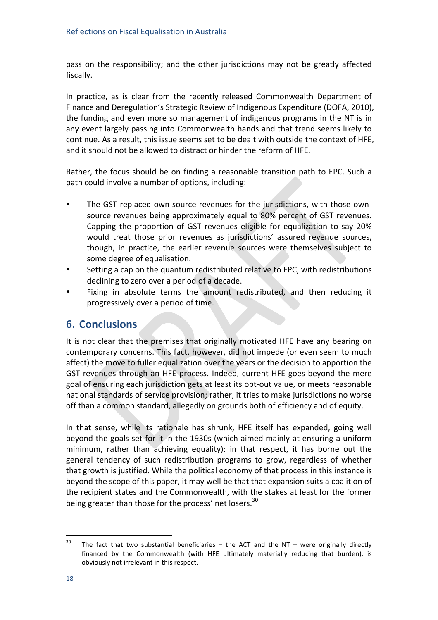pass on the responsibility; and the other jurisdictions may not be greatly affected fiscally.

In practice, as is clear from the recently released Commonwealth Department of Finance and Deregulation's Strategic Review of Indigenous Expenditure (DOFA, 2010), the funding and even more so management of indigenous programs in the NT is in any event largely passing into Commonwealth hands and that trend seems likely to continue. As a result, this issue seems set to be dealt with outside the context of HFE, and it should not be allowed to distract or hinder the reform of HFE.

Rather, the focus should be on finding a reasonable transition path to EPC. Such a path could involve a number of options, including:

- The GST replaced own-source revenues for the jurisdictions, with those ownsource revenues being approximately equal to 80% percent of GST revenues. Capping the proportion of GST revenues eligible for equalization to say 20% would treat those prior revenues as jurisdictions' assured revenue sources, though, in practice, the earlier revenue sources were themselves subject to some degree of equalisation.
- Setting a cap on the quantum redistributed relative to EPC, with redistributions declining to zero over a period of a decade.
- Fixing in absolute terms the amount redistributed, and then reducing it progressively over a period of time.

### **6. Conclusions**

It is not clear that the premises that originally motivated HFE have any bearing on contemporary concerns. This fact, however, did not impede (or even seem to much affect) the move to fuller equalization over the years or the decision to apportion the GST revenues through an HFE process. Indeed, current HFE goes beyond the mere goal of ensuring each jurisdiction gets at least its opt-out value, or meets reasonable national standards of service provision; rather, it tries to make jurisdictions no worse off than a common standard, allegedly on grounds both of efficiency and of equity.

In that sense, while its rationale has shrunk, HFE itself has expanded, going well beyond the goals set for it in the 1930s (which aimed mainly at ensuring a uniform minimum, rather than achieving equality): in that respect, it has borne out the general tendency of such redistribution programs to grow, regardless of whether that growth is justified. While the political economy of that process in this instance is beyond the scope of this paper, it may well be that that expansion suits a coalition of the recipient states and the Commonwealth, with the stakes at least for the former being greater than those for the process' net losers.<sup>30</sup>

<sup>&</sup>lt;sup>30</sup> The fact that two substantial beneficiaries – the ACT and the NT – were originally directly financed by the Commonwealth (with HFE ultimately materially reducing that burden), is obviously not irrelevant in this respect.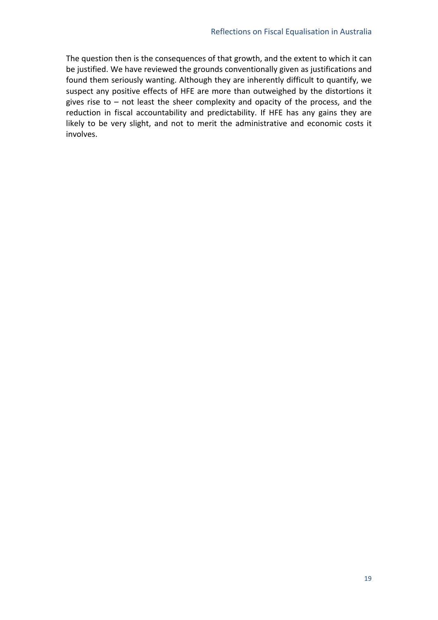The question then is the consequences of that growth, and the extent to which it can be justified. We have reviewed the grounds conventionally given as justifications and found them seriously wanting. Although they are inherently difficult to quantify, we suspect any positive effects of HFE are more than outweighed by the distortions it gives rise to – not least the sheer complexity and opacity of the process, and the reduction in fiscal accountability and predictability. If HFE has any gains they are likely to be very slight, and not to merit the administrative and economic costs it involves.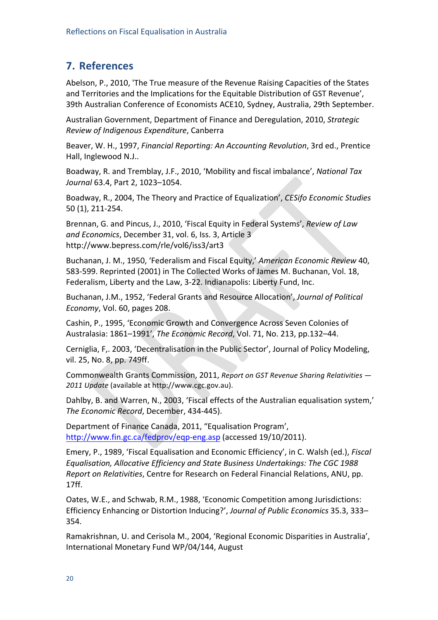# **7. References**

Abelson, P., 2010, 'The True measure of the Revenue Raising Capacities of the States and Territories and the Implications for the Equitable Distribution of GST Revenue', 39th Australian Conference of Economists ACE10, Sydney, Australia, 29th September.

Australian+Government,+Department+of+Finance+and+Deregulation,+2010,+*Strategic"* **Review of Indigenous Expenditure, Canberra** 

Beaver, W. H., 1997, *Financial Reporting: An Accounting Revolution*, 3rd ed., Prentice Hall, Inglewood N.J..

Boadway, R. and Tremblay, J.F., 2010, 'Mobility and fiscal imbalance', *National Tax Journal* 63.4, Part 2, 1023–1054.

Boadway,+R.,+2004,+The+Theory+and+Practice+of+Equalization',+*CESifo"Economic"Studies* 50 (1), 211-254.

Brennan, G. and Pincus, J., 2010, 'Fiscal Equity in Federal Systems', *Review of Law and Economics*, December 31, vol. 6, Iss. 3, Article 3 http://www.bepress.com/rle/vol6/iss3/art3

Buchanan, J. M., 1950, 'Federalism and Fiscal Equity,' American Economic Review 40, 583-599. Reprinted (2001) in The Collected Works of James M. Buchanan, Vol. 18, Federalism, Liberty and the Law, 3-22. Indianapolis: Liberty Fund, Inc.

Buchanan, J.M., 1952, 'Federal Grants and Resource Allocation', *Journal of Political Economy*, Vol. 60, pages 208.

Cashin, P., 1995, 'Economic Growth and Convergence Across Seven Colonies of Australasia: 1861–1991', *The Economic Record*, Vol. 71, No. 213, pp.132–44.

Cerniglia, F,. 2003, 'Decentralisation in the Public Sector', Journal of Policy Modeling, vil. 25, No. 8, pp. 749ff.

Commonwealth Grants Commission, 2011, *Report on GST Revenue Sharing Relativities —* 2011 Update (available at http://www.cgc.gov.au).

Dahlby, B. and Warren, N., 2003, 'Fiscal effects of the Australian equalisation system,' The Economic Record, December, 434-445).

Department of Finance Canada, 2011, "Equalisation Program', http://www.fin.gc.ca/fedprov/eqp-eng.asp (accessed 19/10/2011).

Emery, P., 1989, 'Fiscal Equalisation and Economic Efficiency', in C. Walsh (ed.), *Fiscal Equalisation,"Allocative"Efficiency"and"State"Business"Undertakings:"The"CGC"1988" Report on Relativities*, Centre for Research on Federal Financial Relations, ANU, pp. 17ff.

Oates, W.E., and Schwab, R.M., 1988, 'Economic Competition among Jurisdictions: Efficiency Enhancing or Distortion Inducing?', *Journal of Public Economics* 35.3, 333– 354.

Ramakrishnan, U. and Cerisola M., 2004, 'Regional Economic Disparities in Australia', International Monetary Fund WP/04/144, August